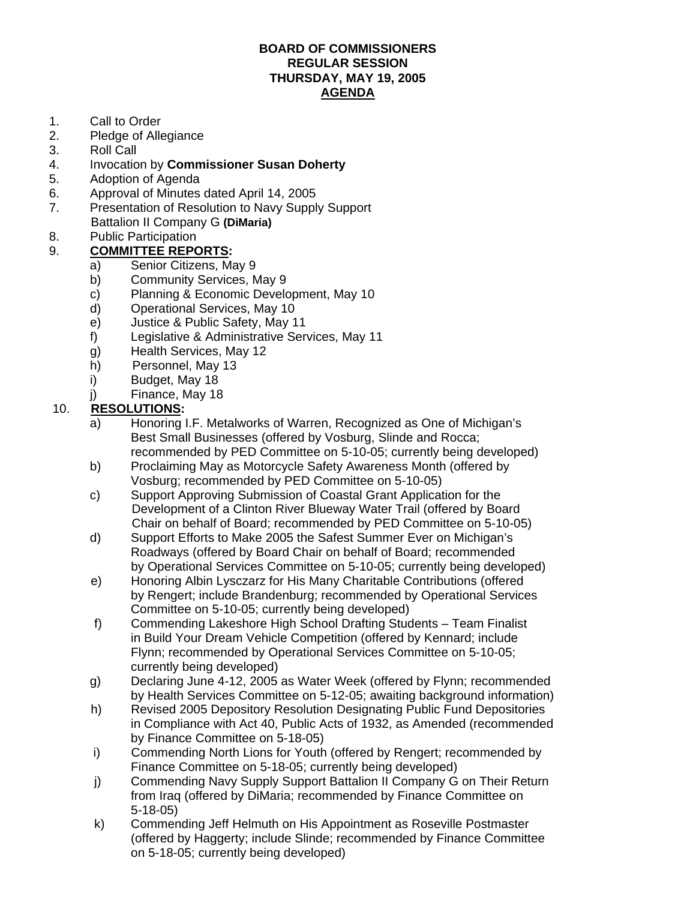## **BOARD OF COMMISSIONERS REGULAR SESSION THURSDAY, MAY 19, 2005 AGENDA**

- 1. Call to Order
- 2. Pledge of Allegiance
- 3. Roll Call
- 4. Invocation by **Commissioner Susan Doherty**
- 5. Adoption of Agenda
- 6. Approval of Minutes dated April 14, 2005
- 7. Presentation of Resolution to Navy Supply Support
	- Battalion II Company G **(DiMaria)**
- 8. Public Participation
- 9. **COMMITTEE REPORTS:**
	- a) Senior Citizens, May 9
	- b) Community Services, May 9
	- c) Planning & Economic Development, May 10
	- d) Operational Services, May 10
	- e) Justice & Public Safety, May 11
	- f) Legislative & Administrative Services, May 11
	- g) Health Services, May 12
	- h) Personnel, May 13
	- i) Budget, May 18
	- j) Finance, May 18

## 10. **RESOLUTIONS:**

- a) Honoring I.F. Metalworks of Warren, Recognized as One of Michigan's Best Small Businesses (offered by Vosburg, Slinde and Rocca; recommended by PED Committee on 5-10-05; currently being developed)
- b) Proclaiming May as Motorcycle Safety Awareness Month (offered by Vosburg; recommended by PED Committee on 5-10-05)
- c) Support Approving Submission of Coastal Grant Application for the Development of a Clinton River Blueway Water Trail (offered by Board Chair on behalf of Board; recommended by PED Committee on 5-10-05)
- d) Support Efforts to Make 2005 the Safest Summer Ever on Michigan's Roadways (offered by Board Chair on behalf of Board; recommended by Operational Services Committee on 5-10-05; currently being developed)
- e) Honoring Albin Lysczarz for His Many Charitable Contributions (offered by Rengert; include Brandenburg; recommended by Operational Services Committee on 5-10-05; currently being developed)
- f) Commending Lakeshore High School Drafting Students Team Finalist in Build Your Dream Vehicle Competition (offered by Kennard; include Flynn; recommended by Operational Services Committee on 5-10-05; currently being developed)
- g) Declaring June 4-12, 2005 as Water Week (offered by Flynn; recommended by Health Services Committee on 5-12-05; awaiting background information)
- h) Revised 2005 Depository Resolution Designating Public Fund Depositories in Compliance with Act 40, Public Acts of 1932, as Amended (recommended by Finance Committee on 5-18-05)
- i) Commending North Lions for Youth (offered by Rengert; recommended by Finance Committee on 5-18-05; currently being developed)
- j) Commending Navy Supply Support Battalion II Company G on Their Return from Iraq (offered by DiMaria; recommended by Finance Committee on 5-18-05)
- k) Commending Jeff Helmuth on His Appointment as Roseville Postmaster (offered by Haggerty; include Slinde; recommended by Finance Committee on 5-18-05; currently being developed)